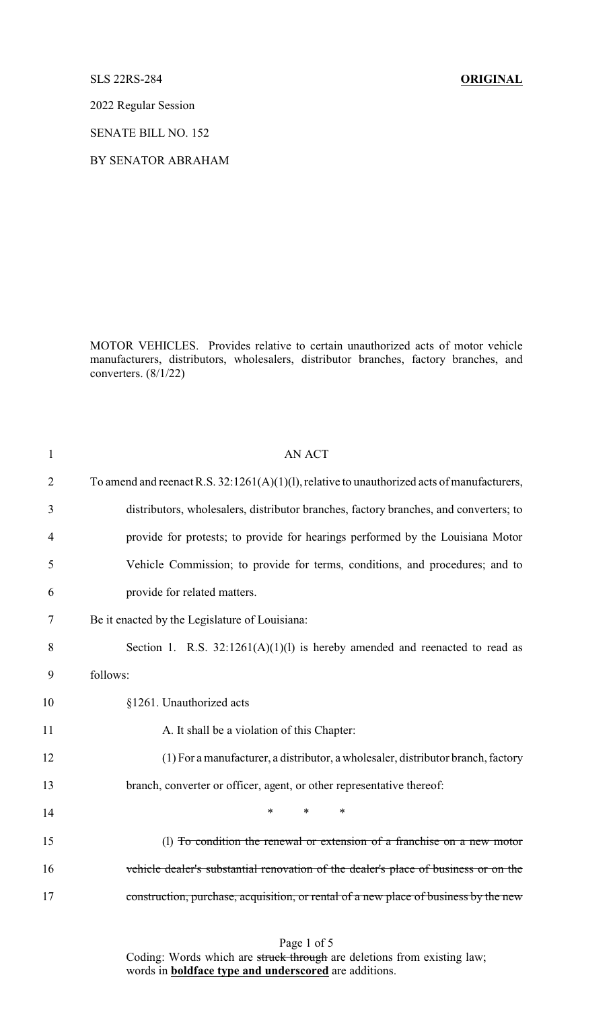SLS 22RS-284 **ORIGINAL**

2022 Regular Session

SENATE BILL NO. 152

BY SENATOR ABRAHAM

MOTOR VEHICLES. Provides relative to certain unauthorized acts of motor vehicle manufacturers, distributors, wholesalers, distributor branches, factory branches, and converters. (8/1/22)

| 1              | <b>AN ACT</b>                                                                                  |
|----------------|------------------------------------------------------------------------------------------------|
| $\overline{2}$ | To amend and reenact R.S. $32:1261(A)(1)(1)$ , relative to unauthorized acts of manufacturers, |
| 3              | distributors, wholesalers, distributor branches, factory branches, and converters; to          |
| 4              | provide for protests; to provide for hearings performed by the Louisiana Motor                 |
| 5              | Vehicle Commission; to provide for terms, conditions, and procedures; and to                   |
| 6              | provide for related matters.                                                                   |
| 7              | Be it enacted by the Legislature of Louisiana:                                                 |
| 8              | Section 1. R.S. $32:1261(A)(1)(1)$ is hereby amended and reenacted to read as                  |
| 9              | follows:                                                                                       |
| 10             | §1261. Unauthorized acts                                                                       |
| 11             | A. It shall be a violation of this Chapter:                                                    |
| 12             | (1) For a manufacturer, a distributor, a wholesaler, distributor branch, factory               |
| 13             | branch, converter or officer, agent, or other representative thereof:                          |
| 14             | $\ast$<br>$\ast$<br>*                                                                          |
| 15             | (1) To condition the renewal or extension of a franchise on a new motor                        |
| 16             | vehicle dealer's substantial renovation of the dealer's place of business or on the            |
| 17             | construction, purchase, acquisition, or rental of a new place of business by the new           |
|                |                                                                                                |

Page 1 of 5

Coding: Words which are struck through are deletions from existing law; words in **boldface type and underscored** are additions.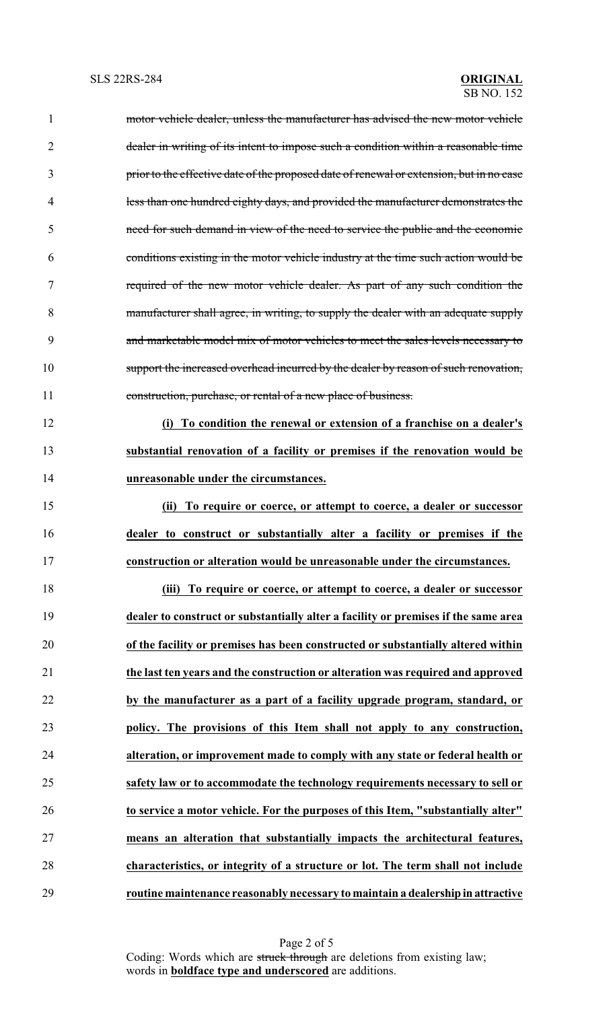| $\mathbf{1}$   | motor vehicle dealer, unless the manufacturer has advised the new motor vehicle          |
|----------------|------------------------------------------------------------------------------------------|
| $\overline{2}$ | dealer in writing of its intent to impose such a condition within a reasonable time      |
| 3              | prior to the effective date of the proposed date of renewal or extension, but in no case |
| $\overline{4}$ | less than one hundred eighty days, and provided the manufacturer demonstrates the        |
| 5              | need for such demand in view of the need to service the public and the economic          |
| 6              | conditions existing in the motor vehicle industry at the time such action would be       |
| 7              | required of the new motor vehicle dealer. As part of any such condition the              |
| 8              | manufacturer shall agree, in writing, to supply the dealer with an adequate supply       |
| 9              | and marketable model mix of motor vehicles to meet the sales levels necessary to         |
| 10             | support the increased overhead incurred by the dealer by reason of such renovation,      |
| 11             | construction, purchase, or rental of a new place of business.                            |
| 12             | To condition the renewal or extension of a franchise on a dealer's<br>(i)                |
| 13             | substantial renovation of a facility or premises if the renovation would be              |
| 14             | unreasonable under the circumstances.                                                    |
| 15             | (ii) To require or coerce, or attempt to coerce, a dealer or successor                   |
| 16             | dealer to construct or substantially alter a facility or premises if the                 |
| 17             | construction or alteration would be unreasonable under the circumstances.                |
| 18             | To require or coerce, or attempt to coerce, a dealer or successor<br>(iii)               |
| 19             | dealer to construct or substantially alter a facility or premises if the same area       |
| 20             | of the facility or premises has been constructed or substantially altered within         |
| 21             | the last ten years and the construction or alteration was required and approved          |
| 22             | by the manufacturer as a part of a facility upgrade program, standard, or                |
| 23             | policy. The provisions of this Item shall not apply to any construction,                 |
| 24             | alteration, or improvement made to comply with any state or federal health or            |
| 25             | safety law or to accommodate the technology requirements necessary to sell or            |
| 26             | to service a motor vehicle. For the purposes of this Item, "substantially alter"         |
| 27             | means an alteration that substantially impacts the architectural features,               |
| 28             | characteristics, or integrity of a structure or lot. The term shall not include          |
| 29             | routine maintenance reasonably necessary to maintain a dealership in attractive          |

Page 2 of 5 Coding: Words which are struck through are deletions from existing law; words in **boldface type and underscored** are additions.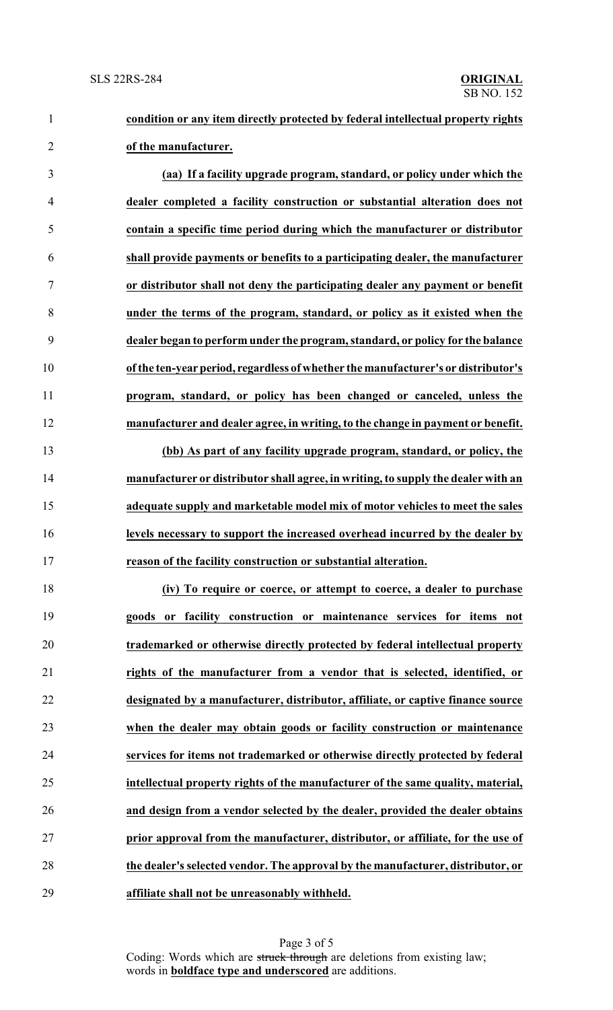## **condition or any item directly protected by federal intellectual property rights of the manufacturer.**

 **(aa) If a facility upgrade program, standard, or policy under which the dealer completed a facility construction or substantial alteration does not contain a specific time period during which the manufacturer or distributor shall provide payments or benefits to a participating dealer, the manufacturer or distributor shall not deny the participating dealer any payment or benefit under the terms of the program, standard, or policy as it existed when the dealer began to perform under the program, standard, or policy for the balance ofthe ten-yearperiod, regardless of whether the manufacturer's or distributor's program, standard, or policy has been changed or canceled, unless the manufacturer and dealer agree, in writing, to the change in payment or benefit.**

 **(bb) As part of any facility upgrade program, standard, or policy, the manufacturer or distributor shall agree, in writing, to supply the dealer with an adequate supply and marketable model mix of motor vehicles to meet the sales levels necessary to support the increased overhead incurred by the dealer by reason of the facility construction or substantial alteration.**

 **(iv) To require or coerce, or attempt to coerce, a dealer to purchase goods or facility construction or maintenance services for items not trademarked or otherwise directly protected by federal intellectual property rights of the manufacturer from a vendor that is selected, identified, or designated by a manufacturer, distributor, affiliate, or captive finance source when the dealer may obtain goods or facility construction or maintenance services for items not trademarked or otherwise directly protected by federal intellectual property rights of the manufacturer of the same quality, material, and design from a vendor selected by the dealer, provided the dealer obtains prior approval from the manufacturer, distributor, or affiliate, for the use of the dealer's selected vendor. The approval by the manufacturer, distributor, or affiliate shall not be unreasonably withheld.**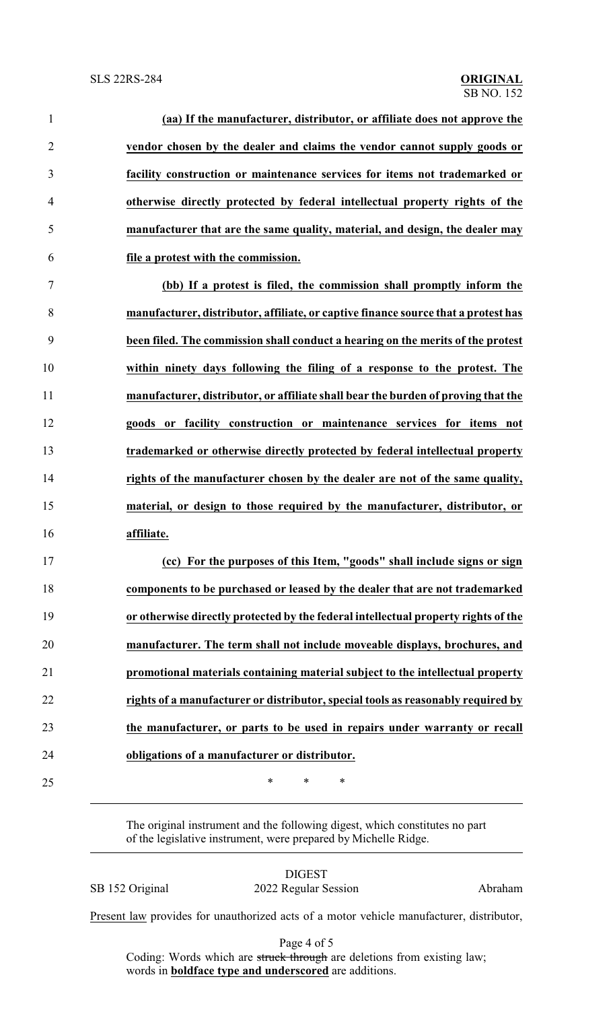| $\mathbf{1}$   | (aa) If the manufacturer, distributor, or affiliate does not approve the           |
|----------------|------------------------------------------------------------------------------------|
| $\overline{2}$ | vendor chosen by the dealer and claims the vendor cannot supply goods or           |
| 3              | facility construction or maintenance services for items not trademarked or         |
| $\overline{4}$ | otherwise directly protected by federal intellectual property rights of the        |
| 5              | manufacturer that are the same quality, material, and design, the dealer may       |
| 6              | file a protest with the commission.                                                |
| $\overline{7}$ | (bb) If a protest is filed, the commission shall promptly inform the               |
| 8              | manufacturer, distributor, affiliate, or captive finance source that a protest has |
| 9              | been filed. The commission shall conduct a hearing on the merits of the protest    |
| 10             | within ninety days following the filing of a response to the protest. The          |
| 11             | manufacturer, distributor, or affiliate shall bear the burden of proving that the  |
| 12             | goods or facility construction or maintenance services for items not               |
| 13             | trademarked or otherwise directly protected by federal intellectual property       |
| 14             | rights of the manufacturer chosen by the dealer are not of the same quality,       |
| 15             | material, or design to those required by the manufacturer, distributor, or         |
| 16             | affiliate.                                                                         |
| 17             | (cc) For the purposes of this Item, "goods" shall include signs or sign            |
| 18             | components to be purchased or leased by the dealer that are not trademarked        |
| 19             | or otherwise directly protected by the federal intellectual property rights of the |
| 20             | manufacturer. The term shall not include moveable displays, brochures, and         |
| 21             | promotional materials containing material subject to the intellectual property     |
| 22             | rights of a manufacturer or distributor, special tools as reasonably required by   |
| 23             | the manufacturer, or parts to be used in repairs under warranty or recall          |
| 24             | obligations of a manufacturer or distributor.                                      |
| 25             | $\ast$<br>$\ast$<br>$\ast$                                                         |

The original instrument and the following digest, which constitutes no part of the legislative instrument, were prepared by Michelle Ridge.

DIGEST SB 152 Original 2022 Regular Session Abraham

Present law provides for unauthorized acts of a motor vehicle manufacturer, distributor,

Page 4 of 5

Coding: Words which are struck through are deletions from existing law; words in **boldface type and underscored** are additions.